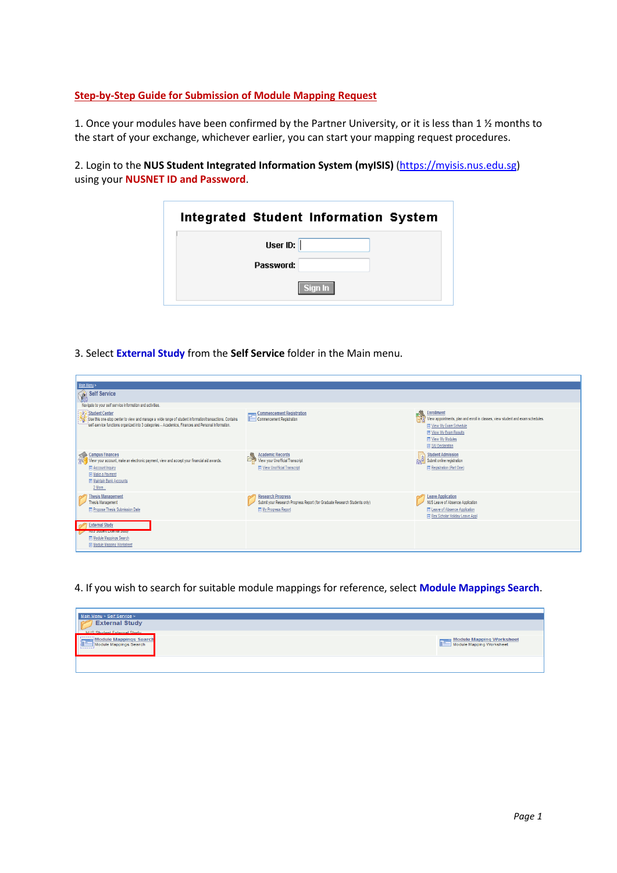## **Step-by-Step Guide for Submission of Module Mapping Request**

1. Once your modules have been confirmed by the Partner University, or it is less than 1 ½ months to the start of your exchange, whichever earlier, you can start your mapping request procedures.

2. Login to the **NUS Student Integrated Information System (myISIS)** [\(https://myisis.nus.edu.sg\)](https://myisis.nus.edu.sg/) using your **NUSNET ID and Password**.

|                      | Integrated Student Information System |  |
|----------------------|---------------------------------------|--|
| User ID: $\parallel$ |                                       |  |
| Password:            |                                       |  |
|                      | Sign In                               |  |

3. Select **External Study** from the **Self Service** folder in the Main menu.

| Main Menu >                                                                                                                                                                                                                     |                                                                                                                                        |                                                                                                                                                                                                                        |
|---------------------------------------------------------------------------------------------------------------------------------------------------------------------------------------------------------------------------------|----------------------------------------------------------------------------------------------------------------------------------------|------------------------------------------------------------------------------------------------------------------------------------------------------------------------------------------------------------------------|
| Self Service<br>Navigate to your self service information and activities.                                                                                                                                                       |                                                                                                                                        |                                                                                                                                                                                                                        |
| Student Center<br>Use this one-stop center to view and manage a wide range of student information/transactions. Contains<br>"self-service functions organized into 3 categories - Academics, Finances and Personal Information. | Commencement Registration<br>Commencement Registration                                                                                 | Enrollment<br>Environments, plan and enroll in classes, view student and exam schedules.<br><b>■ View My Exam Schedule</b><br><b>■ View My Exam Results</b><br><b>Fill</b> View My Modules<br><b>E S/U Declaration</b> |
| Campus Finances<br>Wew your account, make an electronic payment, view and accept your financial aid awards.<br><b>E</b> Account Inquiry<br><b>Fill Make a Payment</b><br><b>E Maintain Bank Accounts</b><br>2 More              | Academic Records<br>The View your Unofficial Transcript<br><b>同 View Unofficial Transcript</b>                                         | <b>Student Admission</b><br><b>Age Submit online registration</b><br>同 Registration (Part One)                                                                                                                         |
| <b>Thesis Management</b><br>Thesis Management<br><b>FRI Propose Thesis Submission Date</b>                                                                                                                                      | <b>Research Progress</b><br>Submit your Research Progress Report (for Graduate Research Students only)<br><b>IF My Progress Report</b> | <b>Leave Application</b><br>NUS Leave of Absence Application<br><b>El Leave of Absence Application</b><br>Res Scholar Holiday Leave Appl                                                                               |
| <b>External Study</b><br><b>TION SHOUGHT EMIGHTER SHOUT</b><br>同 Module Mappings Search<br>同 Module Mapping Worksheet                                                                                                           |                                                                                                                                        |                                                                                                                                                                                                                        |

4. If you wish to search for suitable module mappings for reference, select **Module Mappings Search**.

| Main Menu > Self Service > |                          |
|----------------------------|--------------------------|
| <b>External Study</b>      |                          |
| NUS Student External Study |                          |
| Module Mappings Search     | Module Mapping Worksheet |
|                            |                          |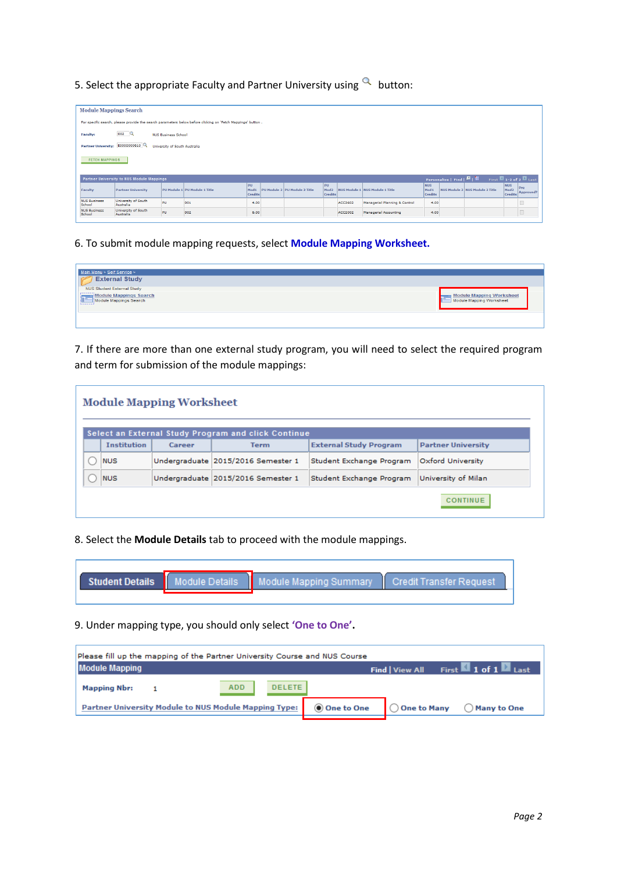5. Select the appropriate Faculty and Partner University using  $\alpha$  button:

|                               | <b>Module Mappings Search</b>                                                                               |                               |                               |                                          |  |                               |                                          |                |                                 |                                                  |                              |                                 |                                                        |                                                   |
|-------------------------------|-------------------------------------------------------------------------------------------------------------|-------------------------------|-------------------------------|------------------------------------------|--|-------------------------------|------------------------------------------|----------------|---------------------------------|--------------------------------------------------|------------------------------|---------------------------------|--------------------------------------------------------|---------------------------------------------------|
|                               | For specific search, please provide the search parameters below before clicking on 'Fetch Mappings' button. |                               |                               |                                          |  |                               |                                          |                |                                 |                                                  |                              |                                 |                                                        |                                                   |
| <b>Faculty:</b>               | $002$ Q                                                                                                     | <b>NUS Business School</b>    |                               |                                          |  |                               |                                          |                |                                 |                                                  |                              |                                 |                                                        |                                                   |
| <b>Partner University:</b>    | E0000000610                                                                                                 | University of South Australia |                               |                                          |  |                               |                                          |                |                                 |                                                  |                              |                                 |                                                        |                                                   |
|                               | <b>FETCH MAPPINGS</b>                                                                                       |                               |                               |                                          |  |                               |                                          |                |                                 |                                                  |                              |                                 |                                                        |                                                   |
|                               | Partner University to NUS Module Mappings                                                                   |                               |                               |                                          |  |                               |                                          |                |                                 |                                                  | Personalize   Find   84   11 |                                 |                                                        | First $\blacksquare$ 1-2 of 2 $\blacksquare$ Last |
| Faculty                       | <b>Partner University</b>                                                                                   |                               | PU Module 1 PU Module 1 Title | PU<br>Mod <sub>1</sub><br><b>Credits</b> |  | PU Module 2 PU Module 2 Title | PU<br>Mod <sub>2</sub><br><b>Credits</b> |                | NUS Module 1 NUS Module 1 Title | <b>NUS</b><br>Mod <sub>1</sub><br><b>Credits</b> |                              | NUS Module 2 NUS Module 2 Title | NUS <sup>.</sup><br>Mod <sub>2</sub><br><b>Credits</b> | $ p_{\text{re}} $<br>Approved?                    |
| <b>NUS Business</b><br>School | University of South<br>Australia                                                                            | PU                            | 001                           | 4.00                                     |  |                               |                                          | ACC3602        | Managerial Planning & Control   | 4.00                                             |                              |                                 |                                                        | $\Box$                                            |
| <b>NUS Business</b><br>School | University of South<br>Australia                                                                            | PU                            | 002                           | 6.00                                     |  |                               |                                          | <b>ACC2002</b> | Managerial Accounting           | 4.00                                             |                              |                                 |                                                        | $\Box$                                            |

6. To submit module mapping requests, select **Module Mapping Worksheet.** 

| Main Menu > Self Service >        |                                                      |
|-----------------------------------|------------------------------------------------------|
| <b>External Study</b>             |                                                      |
| <b>NUS Student External Study</b> |                                                      |
| Module Mappings Search            | Module Mapping Worksheet<br>Module Mapping Worksheet |
|                                   |                                                      |

7. If there are more than one external study program, you will need to select the required program and term for submission of the module mappings:

| <b>Module Mapping Worksheet</b> |        |                                                     |                               |                           |  |  |  |
|---------------------------------|--------|-----------------------------------------------------|-------------------------------|---------------------------|--|--|--|
|                                 |        | Select an External Study Program and click Continue |                               |                           |  |  |  |
| <b>Institution</b>              | Career | <b>Term</b>                                         | <b>External Study Program</b> | <b>Partner University</b> |  |  |  |
| <b>NUS</b>                      |        | Undergraduate 2015/2016 Semester 1                  | Student Exchange Program      | Oxford University         |  |  |  |
| <b>NUS</b>                      |        | Undergraduate 2015/2016 Semester 1                  | Student Exchange Program      | University of Milan       |  |  |  |
|                                 |        |                                                     |                               | <b>CONTINUE</b>           |  |  |  |

8. Select the **Module Details** tab to proceed with the module mappings.

|  | Student Details   Module Details   Module Mapping Summary | □ Il Credit Transfer Request. |
|--|-----------------------------------------------------------|-------------------------------|
|  |                                                           |                               |

9. Under mapping type, you should only select **'One to One'.** 

| Please fill up the mapping of the Partner University Course and NUS Course |               |              |                        |                                                 |  |  |
|----------------------------------------------------------------------------|---------------|--------------|------------------------|-------------------------------------------------|--|--|
| <b>Module Mapping</b>                                                      |               |              | <b>Find   View All</b> | First $\blacksquare$ 1 of 1 $\blacksquare$ Last |  |  |
| ADD<br><b>Mapping Nbr:</b>                                                 | <b>DELETE</b> |              |                        |                                                 |  |  |
| Partner University Module to NUS Module Mapping Type:                      |               | ◉ One to One |                        | ◯ One to Many ◯ Many to One                     |  |  |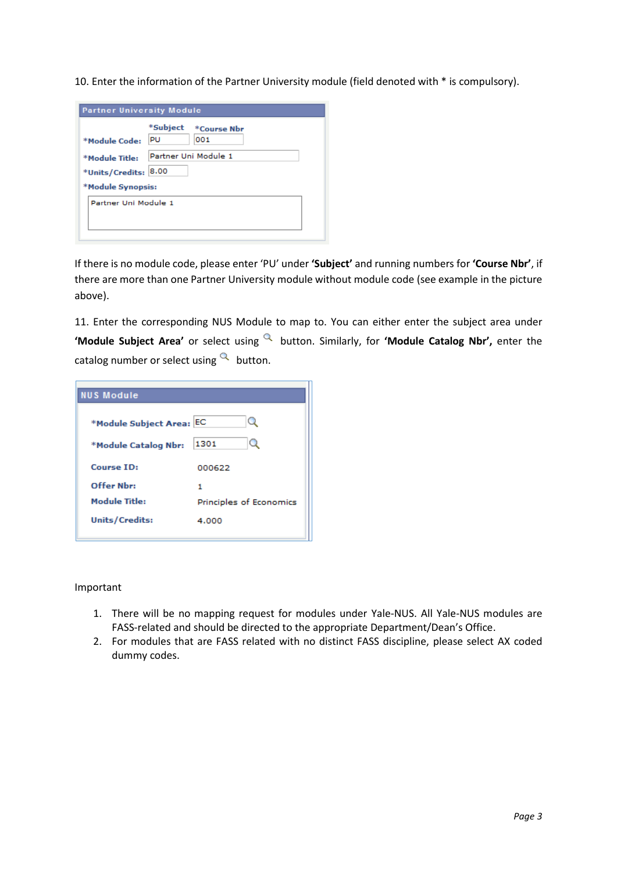10. Enter the information of the Partner University module (field denoted with \* is compulsory).

| <b>Partner University Module</b>                       |                                      |  |  |  |  |
|--------------------------------------------------------|--------------------------------------|--|--|--|--|
| *Module Code:                                          | *Subject<br>*Course Nbr<br>PU<br>001 |  |  |  |  |
| *Module Title:<br>*Units/Credits:<br>*Module Synopsis: | Partner Uni Module 1<br>8.00         |  |  |  |  |
| Partner Uni Module 1                                   |                                      |  |  |  |  |

If there is no module code, please enter 'PU' under **'Subject'** and running numbers for **'Course Nbr'**, if there are more than one Partner University module without module code (see example in the picture above).

11. Enter the corresponding NUS Module to map to. You can either enter the subject area under **'Module Subject Area'** or select using a button. Similarly, for **'Module Catalog Nbr'**, enter the catalog number or select using  $\alpha$  button.

| <b>NUS Module</b>     |                         |
|-----------------------|-------------------------|
| *Module Subject Area: | Q<br>EC                 |
| *Module Catalog Nbr:  | Q<br>1301               |
| <b>Course ID:</b>     | 000622                  |
| Offer Nhr:            | 1                       |
| <b>Module Title:</b>  | Principles of Economics |
| <b>Units/Credits:</b> | 4.000                   |

## Important

- 1. There will be no mapping request for modules under Yale-NUS. All Yale-NUS modules are FASS-related and should be directed to the appropriate Department/Dean's Office.
- 2. For modules that are FASS related with no distinct FASS discipline, please select AX coded dummy codes.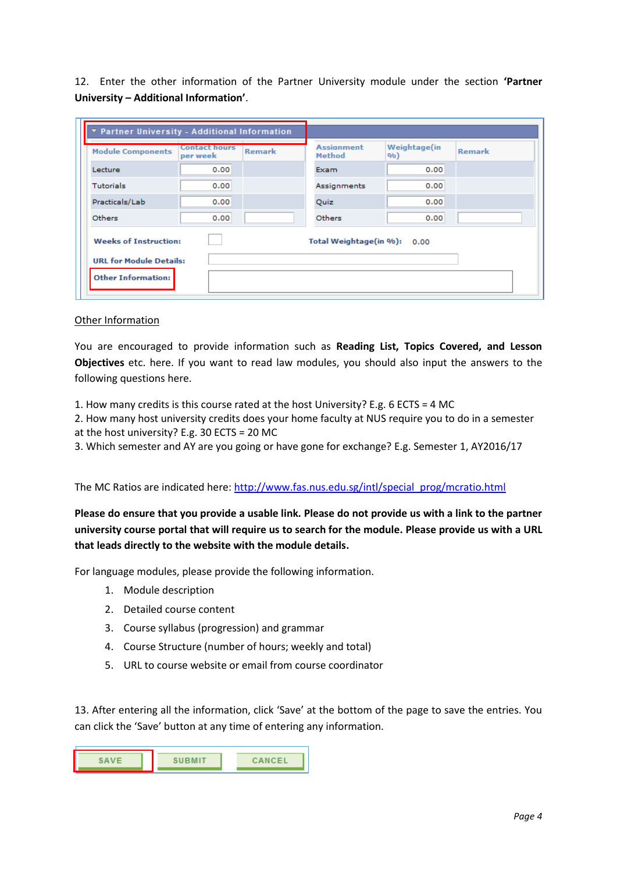12. Enter the other information of the Partner University module under the section **'Partner University – Additional Information'**.

| <b>T</b> Partner University - Additional Information        |                                  |               |                             |                      |               |  |
|-------------------------------------------------------------|----------------------------------|---------------|-----------------------------|----------------------|---------------|--|
| <b>Module Components</b>                                    | <b>Contact hours</b><br>per week | <b>Remark</b> | <b>Assignment</b><br>Method | Weightage(in<br>9/0) | <b>Remark</b> |  |
| Lecture                                                     | 0.00                             |               | Exam                        | 0.00                 |               |  |
| <b>Tutorials</b>                                            | 0.00                             |               | Assignments                 | 0.00                 |               |  |
| Practicals/Lab                                              | 0.00                             |               | Quiz                        | 0.00                 |               |  |
| Others                                                      | 0.00                             |               | Others                      | 0.00                 |               |  |
| <b>Weeks of Instruction:</b><br>Total Weightage(in %): 0.00 |                                  |               |                             |                      |               |  |
| <b>URL for Module Details:</b>                              |                                  |               |                             |                      |               |  |
| <b>Other Information:</b>                                   |                                  |               |                             |                      |               |  |

## Other Information

You are encouraged to provide information such as **Reading List, Topics Covered, and Lesson Objectives** etc. here. If you want to read law modules, you should also input the answers to the following questions here.

- 1. How many credits is this course rated at the host University? E.g. 6 ECTS = 4 MC
- 2. How many host university credits does your home faculty at NUS require you to do in a semester
- at the host university? E.g. 30 ECTS = 20 MC
- 3. Which semester and AY are you going or have gone for exchange? E.g. Semester 1, AY2016/17

The MC Ratios are indicated here: [http://www.fas.nus.edu.sg/intl/special\\_prog/mcratio.html](http://www.fas.nus.edu.sg/intl/special_prog/mcratio.html)

**Please do ensure that you provide a usable link. Please do not provide us with a link to the partner university course portal that will require us to search for the module. Please provide us with a URL that leads directly to the website with the module details.**

For language modules, please provide the following information.

- 1. Module description
- 2. Detailed course content
- 3. Course syllabus (progression) and grammar
- 4. Course Structure (number of hours; weekly and total)
- 5. URL to course website or email from course coordinator

13. After entering all the information, click 'Save' at the bottom of the page to save the entries. You can click the 'Save' button at any time of entering any information.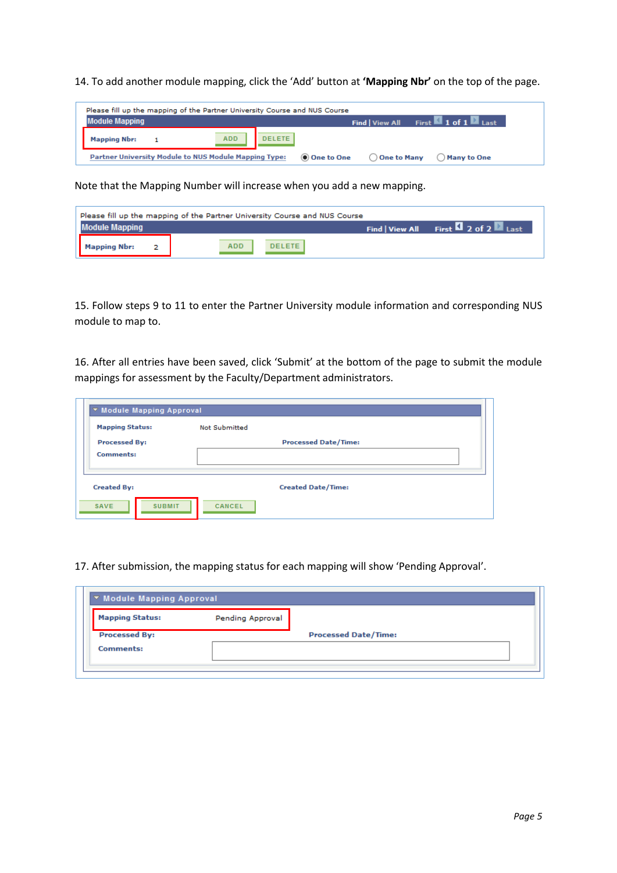14. To add another module mapping, click the 'Add' button at **'Mapping Nbr'** on the top of the page.

|                       | Please fill up the mapping of the Partner University Course and NUS Course |     |        |            |               |                                   |
|-----------------------|----------------------------------------------------------------------------|-----|--------|------------|---------------|-----------------------------------|
| <b>Module Mapping</b> |                                                                            |     |        |            |               | Find   View All First 1 of 1 Last |
| <b>Mapping Nbr:</b>   |                                                                            | ADD | DELETE |            |               |                                   |
|                       | Partner University Module to NUS Module Mapping Type:                      |     |        | One to One | ◯ One to Many | ( ) Many to One                   |

Note that the Mapping Number will increase when you add a new mapping.

|                       | Please fill up the mapping of the Partner University Course and NUS Course |                                                                 |
|-----------------------|----------------------------------------------------------------------------|-----------------------------------------------------------------|
| <b>Module Mapping</b> |                                                                            | Find   View All First $\blacksquare$ 2 of 2 $\blacksquare$ Last |
| <b>Mapping Nbr:</b>   | <b>DELETE</b><br><b>ADD</b>                                                |                                                                 |

15. Follow steps 9 to 11 to enter the Partner University module information and corresponding NUS module to map to.

16. After all entries have been saved, click 'Submit' at the bottom of the page to submit the module mappings for assessment by the Faculty/Department administrators.

| <b>Mapping Status:</b> | <b>Not Submitted</b>        |  |
|------------------------|-----------------------------|--|
| <b>Processed By:</b>   | <b>Processed Date/Time:</b> |  |
| <b>Comments:</b>       |                             |  |
|                        |                             |  |
| <b>Created By:</b>     | <b>Created Date/Time:</b>   |  |

17. After submission, the mapping status for each mapping will show 'Pending Approval'.

| <b>Mapping Status:</b> | Pending Approval |                             |  |
|------------------------|------------------|-----------------------------|--|
|                        |                  |                             |  |
| <b>Processed By:</b>   |                  | <b>Processed Date/Time:</b> |  |
| <b>Comments:</b>       |                  |                             |  |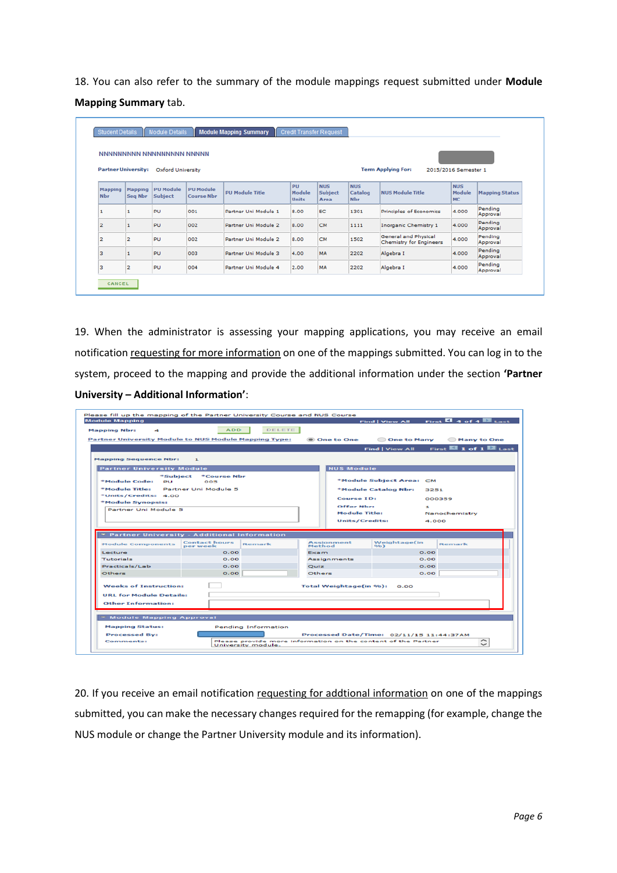18. You can also refer to the summary of the module mappings request submitted under **Module Mapping Summary** tab.

|                              |                            | NNNNNNNNN NNNNNNNNNN NNNNN  |                                       |                        |                                     |                                      |                                     |                                                        |                            |                       |
|------------------------------|----------------------------|-----------------------------|---------------------------------------|------------------------|-------------------------------------|--------------------------------------|-------------------------------------|--------------------------------------------------------|----------------------------|-----------------------|
|                              | <b>Partner University:</b> | Oxford University           |                                       |                        |                                     |                                      |                                     | <b>Term Applying For:</b>                              | 2015/2016 Semester 1       |                       |
| <b>Mapping</b><br><b>Nbr</b> | Mapping<br>Seq Nbr         | <b>PU Module</b><br>Subject | <b>PU Module</b><br><b>Course Nbr</b> | <b>PU Module Title</b> | <b>PH</b><br>Module<br><b>Units</b> | <b>NUS</b><br><b>Subject</b><br>Area | <b>NUS</b><br>Catalog<br><b>Nbr</b> | <b>NUS Module Title</b>                                | <b>NUS</b><br>Module<br>MC | <b>Mapping Status</b> |
| 1                            |                            | PU                          | 001                                   | Partner Uni Module 1   | 8.00                                | EC                                   | 1301                                | Principles of Economics                                | 4.000                      | Pending<br>Approval   |
| $\overline{2}$               |                            | PU                          | 002                                   | Partner Uni Module 2   | 8.00                                | <b>CM</b>                            | 1111                                | Inorganic Chemistry 1                                  | 4.000                      | Pending<br>Approval   |
| $\overline{\mathbf{2}}$      | 2                          | PU                          | 002                                   | Partner Uni Module 2   | 8.00                                | CM                                   | 1502                                | General and Physical<br><b>Chemistry for Engineers</b> | 4.000                      | Pending<br>Approval   |
| з                            |                            | PU                          | 003                                   | Partner Uni Module 3   | 4.00                                | MA                                   | 2202                                | Algebra I                                              | 4,000                      | Pending<br>Approval   |
| в                            | 2                          | PU                          | 004                                   | Partner Uni Module 4   | 2.00                                | MA                                   | 2202                                | Algebra I                                              | 4.000                      | Pending<br>Approval   |

19. When the administrator is assessing your mapping applications, you may receive an email notification requesting for more information on one of the mappings submitted. You can log in to the system, proceed to the mapping and provide the additional information under the section **'Partner University – Additional Information'**:

|                                                  | Partner University Module to NUS Module Mapping Type:                        | <b>® One to One</b>    | <b>One to Many</b>           | Many to One                                     |
|--------------------------------------------------|------------------------------------------------------------------------------|------------------------|------------------------------|-------------------------------------------------|
|                                                  |                                                                              |                        | <b>Find   View All</b>       | First $\blacksquare$ 1 of 1 $\blacksquare$ Last |
| <b>Mapping Sequence Nbr:</b>                     | $\mathbf{r}$                                                                 |                        |                              |                                                 |
| <b>Partner University Module</b>                 |                                                                              | <b>NUS Module</b>      |                              |                                                 |
| *Module Code:<br>$P+1$                           | *Subject *Course Nbr<br>005                                                  |                        | *Module Subject Area: CM     |                                                 |
| *Module Title:                                   | Partner Uni Module 5                                                         |                        | *Module Catalog Nbr:<br>3251 |                                                 |
| *Units/Credits: 4.00                             |                                                                              | <b>Course ID:</b>      |                              | 000359                                          |
| *Module Synopsis:<br><b>Partner Uni Module 5</b> |                                                                              | Offer Nbr:             | $\mathbf{1}$                 |                                                 |
|                                                  |                                                                              | <b>Module Title:</b>   |                              | Nanochemistry                                   |
|                                                  |                                                                              |                        | <b>Units/Credits:</b>        | 4.000                                           |
|                                                  |                                                                              |                        |                              |                                                 |
|                                                  | <b>T</b> Partner University - Additional Information<br><b>Contact hours</b> | Assignment             | Weightage(in                 |                                                 |
| <b>Module Components</b>                         | Remark<br>per week                                                           | Method                 | 9/6                          | Remark                                          |
|                                                  | O.OO                                                                         | Exam                   | O.OO                         |                                                 |
| Lecture                                          |                                                                              |                        |                              |                                                 |
| Tutorials                                        | O.OO                                                                         | Assignments            | 0.00                         |                                                 |
| Practicals/Lab                                   | O.OO                                                                         | Quiz                   | 0.00                         |                                                 |
| Others                                           | 0.00                                                                         | Others                 | 0.00                         |                                                 |
| <b>Weeks of Instruction:</b>                     |                                                                              | Total Weightage(in %): | 0.00                         |                                                 |
| <b>URL for Module Details:</b>                   |                                                                              |                        |                              |                                                 |
| <b>Other Information:</b>                        |                                                                              |                        |                              |                                                 |
|                                                  |                                                                              |                        |                              |                                                 |
| * Module Mapping Approval                        |                                                                              |                        |                              |                                                 |

20. If you receive an email notification requesting for addtional information on one of the mappings submitted, you can make the necessary changes required for the remapping (for example, change the NUS module or change the Partner University module and its information).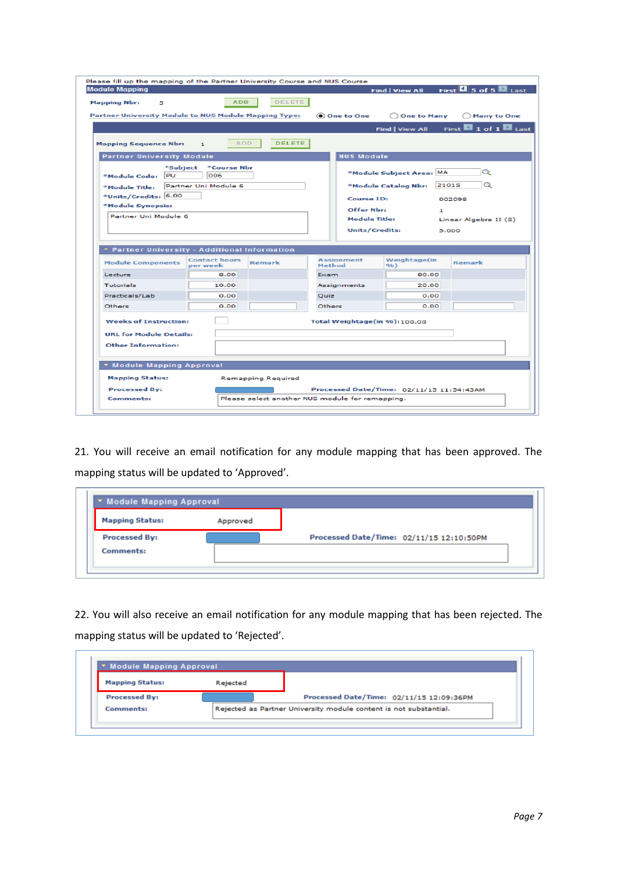| <b>Module Mapping</b><br><b>ADD</b><br><b>Mapping Nbr:</b><br>5<br>Partner University Module to NUS Module Mapping Type:<br><b>ADD</b><br><b>Mapping Sequence Nbr:</b><br>$\mathbf{1}$<br><b>Partner University Module</b><br>*Course Nbr<br>*Subject<br>PU<br>006<br>*Module Code:<br>Partner Uni Module 6<br>*Module Title:<br>*Units/Credits: 6.00<br>*Module Synopsis: | <b>DELETE</b><br><b>DELETE</b> |               | One to One<br><b>NUS Module</b>                 | <b>Find   View All</b><br>O One to Many<br><b>Find   View All</b><br>*Module Subject Area: MA |              | First $\Box$ 5 of 5 $\Box$ Last<br>◯ Many to One<br>First $\blacksquare$ 1 of 1 $\blacksquare$ Last<br>Q |
|----------------------------------------------------------------------------------------------------------------------------------------------------------------------------------------------------------------------------------------------------------------------------------------------------------------------------------------------------------------------------|--------------------------------|---------------|-------------------------------------------------|-----------------------------------------------------------------------------------------------|--------------|----------------------------------------------------------------------------------------------------------|
|                                                                                                                                                                                                                                                                                                                                                                            |                                |               |                                                 |                                                                                               |              |                                                                                                          |
|                                                                                                                                                                                                                                                                                                                                                                            |                                |               |                                                 |                                                                                               |              |                                                                                                          |
|                                                                                                                                                                                                                                                                                                                                                                            |                                |               |                                                 |                                                                                               |              |                                                                                                          |
|                                                                                                                                                                                                                                                                                                                                                                            |                                |               |                                                 |                                                                                               |              |                                                                                                          |
|                                                                                                                                                                                                                                                                                                                                                                            |                                |               |                                                 |                                                                                               |              |                                                                                                          |
|                                                                                                                                                                                                                                                                                                                                                                            |                                |               |                                                 |                                                                                               |              |                                                                                                          |
|                                                                                                                                                                                                                                                                                                                                                                            |                                |               |                                                 |                                                                                               |              |                                                                                                          |
|                                                                                                                                                                                                                                                                                                                                                                            |                                |               |                                                 |                                                                                               |              |                                                                                                          |
|                                                                                                                                                                                                                                                                                                                                                                            |                                |               |                                                 | *Module Catalog Nbr:                                                                          | <b>2101S</b> | Q                                                                                                        |
|                                                                                                                                                                                                                                                                                                                                                                            |                                |               | <b>Course ID:</b>                               |                                                                                               | 002098       |                                                                                                          |
|                                                                                                                                                                                                                                                                                                                                                                            |                                |               | Offer Nbr:                                      |                                                                                               |              |                                                                                                          |
| Partner Uni Module 6                                                                                                                                                                                                                                                                                                                                                       |                                |               | <b>Module Title:</b>                            |                                                                                               | ı            | Linear Algebra II (S)                                                                                    |
|                                                                                                                                                                                                                                                                                                                                                                            |                                |               |                                                 |                                                                                               |              |                                                                                                          |
|                                                                                                                                                                                                                                                                                                                                                                            |                                |               | <b>Units/Credits:</b>                           |                                                                                               | 5.000        |                                                                                                          |
| <b>T</b> Partner University - Additional Information                                                                                                                                                                                                                                                                                                                       |                                |               |                                                 |                                                                                               |              |                                                                                                          |
|                                                                                                                                                                                                                                                                                                                                                                            |                                |               | <b>Assignment</b>                               |                                                                                               |              |                                                                                                          |
| <b>Contact hours</b><br><b>Module Components</b><br>per week                                                                                                                                                                                                                                                                                                               | Remark                         | Method        |                                                 | Weightage(in<br>9/0)                                                                          |              | Remark                                                                                                   |
| Lecture<br>8.00                                                                                                                                                                                                                                                                                                                                                            |                                | Exam          |                                                 | 80.00                                                                                         |              |                                                                                                          |
| Tutorials<br>10.00                                                                                                                                                                                                                                                                                                                                                         |                                |               | Assignments                                     | 20.00                                                                                         |              |                                                                                                          |
| Practicals/Lab<br>0.00                                                                                                                                                                                                                                                                                                                                                     |                                | Quiz          |                                                 | 0.00                                                                                          |              |                                                                                                          |
| 0.00<br><b>Others</b>                                                                                                                                                                                                                                                                                                                                                      |                                | <b>Others</b> |                                                 | 0.00                                                                                          |              |                                                                                                          |
| <b>Weeks of Instruction:</b>                                                                                                                                                                                                                                                                                                                                               |                                |               | Total Weightage(in %): 100.00                   |                                                                                               |              |                                                                                                          |
| <b>URL for Module Details:</b>                                                                                                                                                                                                                                                                                                                                             |                                |               |                                                 |                                                                                               |              |                                                                                                          |
| Other Information:                                                                                                                                                                                                                                                                                                                                                         |                                |               |                                                 |                                                                                               |              |                                                                                                          |
|                                                                                                                                                                                                                                                                                                                                                                            |                                |               |                                                 |                                                                                               |              |                                                                                                          |
| ▼ Module Mapping Approval                                                                                                                                                                                                                                                                                                                                                  |                                |               |                                                 |                                                                                               |              |                                                                                                          |
| <b>Mapping Status:</b><br><b>Remapping Required</b>                                                                                                                                                                                                                                                                                                                        |                                |               |                                                 |                                                                                               |              |                                                                                                          |
| <b>Processed By:</b>                                                                                                                                                                                                                                                                                                                                                       |                                |               |                                                 | Processed Date/Time: 02/11/15 11:54:43AM                                                      |              |                                                                                                          |
| <b>Comments:</b>                                                                                                                                                                                                                                                                                                                                                           |                                |               | Please select another NUS module for remapping. |                                                                                               |              |                                                                                                          |

21. You will receive an email notification for any module mapping that has been approved. The mapping status will be updated to 'Approved'.

|                      | Approved |                                          |
|----------------------|----------|------------------------------------------|
| <b>Processed By:</b> |          | Processed Date/Time: 02/11/15 12:10:50PM |

22. You will also receive an email notification for any module mapping that has been rejected. The mapping status will be updated to 'Rejected'.

| <b>Mapping Status:</b> | Rejected |                                          |
|------------------------|----------|------------------------------------------|
| <b>Processed By:</b>   |          | Processed Date/Time: 02/11/15 12:09:36PM |